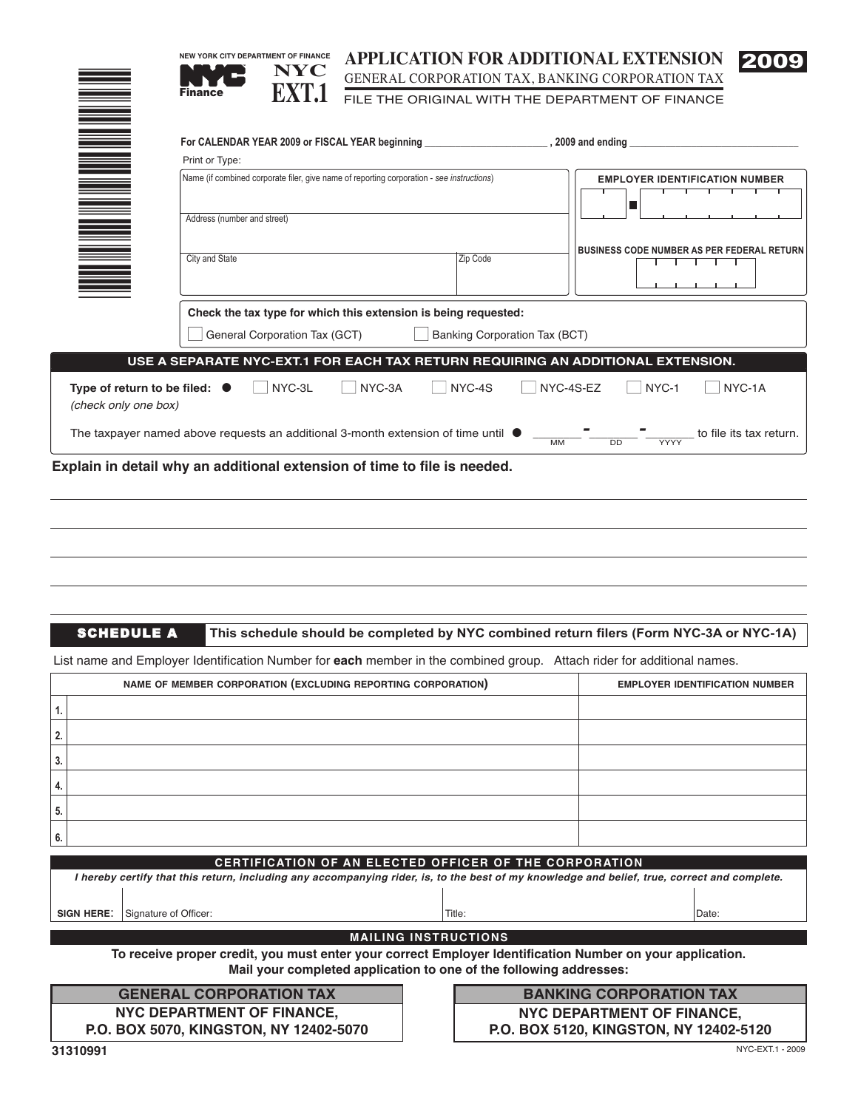| <b>NEW YORK CITY DEPARTMENT OF FINANCE</b><br><b>NYC</b><br>EXT.1<br><b>Finance</b>       | <b>APPLICATION FOR ADDITIONAL EXTENSION</b><br>GENERAL CORPORATION TAX, BANKING CORPORATION TAX<br>FILE THE ORIGINAL WITH THE DEPARTMENT OF FINANCE | 2009                                              |
|-------------------------------------------------------------------------------------------|-----------------------------------------------------------------------------------------------------------------------------------------------------|---------------------------------------------------|
| Print or Type:                                                                            |                                                                                                                                                     |                                                   |
| Name (if combined corporate filer, give name of reporting corporation - see instructions) |                                                                                                                                                     | <b>EMPLOYER IDENTIFICATION NUMBER</b>             |
| Address (number and street)                                                               |                                                                                                                                                     |                                                   |
| City and State                                                                            | Zip Code                                                                                                                                            | <b>BUSINESS CODE NUMBER AS PER FEDERAL RETURN</b> |
| General Corporation Tax (GCT)                                                             | Check the tax type for which this extension is being requested:<br>Banking Corporation Tax (BCT)                                                    |                                                   |
|                                                                                           | USE A SEPARATE NYC-EXT.1 FOR EACH TAX RETURN REQUIRING AN ADDITIONAL EXTENSION.                                                                     |                                                   |

| Type of return to be filed: $\bullet$<br>(check only one box)                             | NYC-3L | NYC-3A | NYC-4S | NYC-4S-EZ                             | NYC-1                                                | NYC-1A                  |
|-------------------------------------------------------------------------------------------|--------|--------|--------|---------------------------------------|------------------------------------------------------|-------------------------|
| The taxpayer named above requests an additional 3-month extension of time until $\bullet$ |        |        |        | $\overline{\phantom{0}}$<br><b>MM</b> | $\overline{\phantom{a}}$<br><b>YYYY</b><br><b>DD</b> | to file its tax return. |

**Explain in detail why an additional extension of time to file is needed.**

SCHEDULE A

**This schedule should be completed by NYC combined return filers (Form NYC-3A or NYC-1A)**

List name and Employer Identification Number for **each** member in the combined group. Attach rider for additional names.

| NAME OF MEMBER CORPORATION (EXCLUDING REPORTING CORPORATION) | <b>EMPLOYER IDENTIFICATION NUMBER</b> |
|--------------------------------------------------------------|---------------------------------------|
|                                                              |                                       |
|                                                              |                                       |
|                                                              |                                       |
|                                                              |                                       |
|                                                              |                                       |
|                                                              |                                       |

| CERTIFICATION OF AN ELECTED OFFICER OF THE CORPORATION                                                                                       |                       |        |       |  |  |  |  |
|----------------------------------------------------------------------------------------------------------------------------------------------|-----------------------|--------|-------|--|--|--|--|
| l hereby certify that this return, including any accompanying rider, is, to the best of my knowledge and belief, true, correct and complete. |                       |        |       |  |  |  |  |
|                                                                                                                                              |                       |        |       |  |  |  |  |
|                                                                                                                                              |                       |        |       |  |  |  |  |
| <b>SIGN HERE:</b>                                                                                                                            | Signature of Officer: | Title: | Date: |  |  |  |  |
|                                                                                                                                              |                       |        |       |  |  |  |  |
| <b>MAILING INSTRUCTIONS</b>                                                                                                                  |                       |        |       |  |  |  |  |

**To receive proper credit, you must enter your correct Employer Identification Number on your application. Mail your completed application to one of the following addresses:**

**NYC DEPARTMENT OF FINANCE, P.O. BOX 5070, KINGSTON, NY 12402-5070 GENERAL CORPORATION TAX**

**NYC DEPARTMENT OF FINANCE, P.O. BOX 5120, KINGSTON, NY 12402-5120 BANKING CORPORATION TAX**